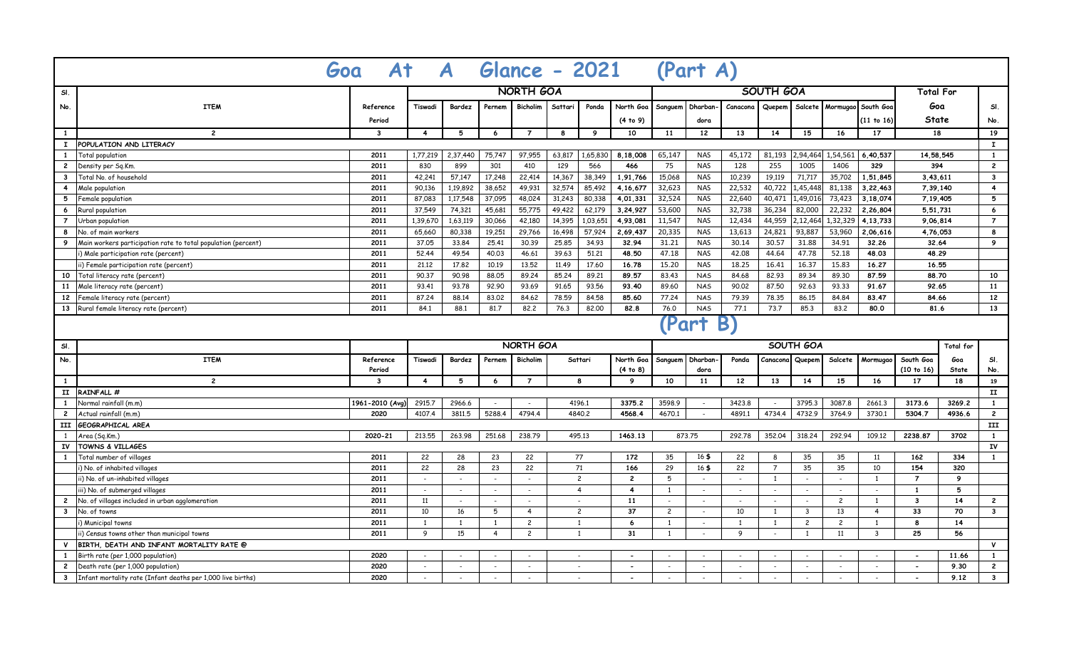| Glance - 2021 (Part A)<br>$\overline{A}$<br>At<br>Goa<br>NORTH GOA<br><b>SOUTH GOA</b> |                                                               |                 |                |                          |                |                          |         |                          |                          |                |                          |                          |                          |                          |                          |                    |                          |              |                         |
|----------------------------------------------------------------------------------------|---------------------------------------------------------------|-----------------|----------------|--------------------------|----------------|--------------------------|---------|--------------------------|--------------------------|----------------|--------------------------|--------------------------|--------------------------|--------------------------|--------------------------|--------------------|--------------------------|--------------|-------------------------|
| SI.                                                                                    |                                                               |                 |                |                          |                |                          |         |                          |                          |                |                          | <b>Total For</b>         |                          |                          |                          |                    |                          |              |                         |
| No.                                                                                    | <b>ITEM</b>                                                   | Reference       | Tiswadi        | Bardez                   | Pernem         | <b>Bicholim</b>          | Sattari | Ponda                    | North Goa                |                | Sanguem Dharban-         | Canacona                 | Quepem                   | Salcete                  |                          | Mormugao South Goa | Goa                      |              | SI.                     |
|                                                                                        |                                                               | Period          |                |                          |                |                          |         |                          | (4 to 9)                 |                | dora                     |                          |                          |                          |                          | (11 to 16)         | <b>State</b>             |              | No.                     |
| $\mathbf{1}$                                                                           | $\overline{c}$                                                | 3               | $\overline{4}$ | 5                        | 6              | $\overline{7}$           | 8       | 9                        | 10                       | 11             | 12                       | 13                       | 14                       | 15                       | 16                       | 17                 | 18                       |              | 19                      |
| $\mathbf{I}$                                                                           | POPULATION AND LITERACY                                       |                 |                |                          |                |                          |         |                          |                          |                |                          |                          |                          |                          |                          |                    |                          |              | $\mathbf{I}$            |
| $\mathbf{1}$                                                                           | <b>Total population</b>                                       | 2011            | 1,77,219       | 2,37,440                 | 75,747         | 97,955                   | 63,817  | 1,65,830                 | 8.18.008                 | 65,147         | <b>NAS</b>               | 45,172                   | 81,193                   | 2,94,464                 | 1,54,561                 | 6.40.537           | 14,58,545                |              | $\mathbf{1}$            |
| $\mathbf{2}$                                                                           | )ensity per Sq.Km                                             | 2011            | 830            | 899                      | 301            | 410                      | 129     | 566                      | 466                      | 75             | <b>NAS</b>               | 128                      | 255                      | 1005                     | 1406                     | 329                | 394                      |              | $\overline{2}$          |
| $\mathbf{3}$                                                                           | Total No. of household                                        | 2011            | 42,241         | 57,147                   | 17,248         | 22,414                   | 14,367  | 38,349                   | 1,91,766                 | 15,068         | <b>NAS</b>               | 10,239                   | 19,119                   | 71,717                   | 35,702                   | 1,51,845           | 3,43,611                 |              | $\overline{\mathbf{3}}$ |
| $\overline{4}$                                                                         | Male population                                               | 2011            | 90.136         | 1,19,892                 | 38,652         | 49,931                   | 32,574  | 85,492                   | 4,16,677                 | 32,623         | <b>NAS</b>               | 22,532                   | 40,722                   | 1,45,448                 | 81,138                   | 3,22,463           | 7,39,140                 |              | $\overline{4}$          |
| 5                                                                                      | Female population                                             | 2011            | 87,083         | 1,17,548                 | 37,095         | 48,024                   | 31,243  | 80,338                   | 4,01,331                 | 32,524         | <b>NAS</b>               | 22,640                   | 40,471                   | 1,49,016                 | 73,423                   | 3,18,074           | 7,19,405                 |              | 5                       |
| 6                                                                                      | Rural population                                              | 2011            | 37.549         | 74,321                   | 45,681         | 55,775                   | 49,422  | 62,179                   | 3,24,927                 | 53,600         | <b>NAS</b>               | 32,738                   | 36,234                   | 82,000                   | 22,232                   | 2,26,804           | 5.51.731                 |              | 6                       |
| $\overline{7}$                                                                         | Jrban population                                              | 2011            | 1,39,670       | 1,63,119                 | 30,066         | 42,180                   | 14,395  | 1,03,651                 | 4,93,081                 | 11,547         | <b>NAS</b>               | 12,434                   | 44,959                   | 2,12,464                 | 1,32,329                 | 4,13,733           | 9,06,814                 |              | $\overline{7}$          |
| 8                                                                                      | No. of main workers                                           | 2011            | 65,660         | 80,338                   | 19,251         | 29,766                   | 16,498  | 57,924                   | 2,69,437                 | 20,335         | <b>NAS</b>               | 13,613                   | 24,821                   | 93,887                   | 53,960                   | 2.06.616           | 4,76,053                 |              | 8                       |
| 9                                                                                      | Main workers participation rate to total population (percent) | 2011            | 37.05          | 33,84                    | 25.41          | 30.39                    | 25,85   | 34.93                    | 32.94                    | 31.21          | <b>NAS</b>               | 30.14                    | 30.57                    | 31.88                    | 34.91                    | 32.26              | 32.64                    |              | 9                       |
|                                                                                        | Male participation rate (percent)                             | 2011            | 52.44          | 49.54                    | 40.03          | 46.61                    | 39.63   | 51,21                    | 48.50                    | 47.18          | <b>NAS</b>               | 42.08                    | 44.64                    | 47.78                    | 52.18                    | 48.03              | 48.29                    |              |                         |
|                                                                                        | i) Female participation rate (percent)                        | 2011            | 21.12          | 17.82                    | 10.19          | 13.52                    | 11.49   | 17.60                    | 16.78                    | 15.20          | <b>NAS</b>               | 18.25                    | 16.41                    | 16.37                    | 15.83                    | 16.27              | 16.55                    |              |                         |
| 10                                                                                     | Total literacy rate (percent)                                 | 2011            | 90.37          | 90.98                    | 88.05          | 89.24                    | 85.24   | 89.21                    | 89.57                    | 83.43          | <b>NAS</b>               | 84.68                    | 82.93                    | 89.34                    | 89.30                    | 87.59              | 88.70                    |              | 10                      |
| 11                                                                                     | Male literacy rate (percent)                                  | 2011            | 93.41          | 93.78                    | 92.90          | 93.69                    | 91.65   | 93.56                    | 93.40                    | 89.60          | <b>NAS</b>               | 90.02                    | 87.50                    | 92.63                    | 93.33                    | 91.67              | 92.65                    |              | 11                      |
| 12                                                                                     | Female literacy rate (percent)                                | 2011            | 87.24          | 88.14                    | 83.02          | 84.62                    | 78.59   | 84.58                    | 85.60                    | 77.24          | <b>NAS</b>               | 79.39                    | 78.35                    | 86.15                    | 84.84                    | 83.47              | 84.66                    |              | 12                      |
| 13                                                                                     | Rural female literacy rate (percent)                          | 2011            | 84.1           | 88.1                     | 81,7           | 82.2                     | 82,00   | 82.8                     | 76.0                     | <b>NAS</b>     | 77.1                     | 73.7                     | 85.3                     | 83.2                     | 80.0                     | 81.6               |                          | 13           |                         |
|                                                                                        | <b>Part</b><br>B,                                             |                 |                |                          |                |                          |         |                          |                          |                |                          |                          |                          |                          |                          |                    |                          |              |                         |
| SI.                                                                                    |                                                               |                 |                | NORTH GOA<br>SOUTH GOA   |                |                          |         |                          |                          |                |                          |                          |                          |                          | <b>Total for</b>         |                    |                          |              |                         |
| No.                                                                                    | <b>ITEM</b>                                                   | Reference       | Tiswadi        | Bardez                   | Pernem         | <b>Bicholim</b>          |         | Sattari                  | North Goa                | Sanguem        | Dharban                  | Ponda                    |                          | Canacona Quepem          | Salcete                  | Mormugao           | South Goa                | Goa          | SI.                     |
|                                                                                        |                                                               | Period          |                |                          |                |                          |         |                          | (4 to 8)                 |                | dora                     |                          |                          |                          |                          |                    | (10 to 16)               | <b>State</b> | No.                     |
| $\mathbf{1}$                                                                           | $\overline{c}$                                                | 3               | $\overline{4}$ | 5                        | 6              | $\overline{7}$           |         | 8                        | 9                        | 10             | 11                       | 12                       | 13                       | 14                       | 15                       | 16                 | 17                       | 18           | 19                      |
| II                                                                                     | RAINFALL #                                                    |                 |                |                          |                |                          |         |                          |                          |                |                          |                          |                          |                          |                          |                    |                          |              | $\mathbf{II}$           |
| 1                                                                                      | Normal rainfall (m.m)                                         | 1961-2010 (Avg) | 2915.7         | 2966.6                   | $\sim$         | $\sim$                   |         | 4196.1                   | 3375.2                   | 3598.9         | $\sim$                   | 3423.8                   | $\sim$                   | 3795.3                   | 3087.8                   | 2661.3             | 3173.6                   | 3269.2       | $\mathbf{1}$            |
| $\mathbf{2}$                                                                           | Actual rainfall (m.m)                                         | 2020            | 4107.4         | 3811,5                   | 5288.4         | 4794.4                   |         | 4840.2                   | 4568.4                   | 4670.1         | $\sim$                   | 4891.1                   | 4734.4                   | 4732.9                   | 3764.9                   | 3730.1             | 5304.7                   | 4936.6       | $\overline{2}$          |
| III                                                                                    | GEOGRAPHICAL AREA                                             |                 |                |                          |                |                          |         |                          |                          |                |                          |                          |                          |                          |                          |                    |                          |              | III                     |
| 1                                                                                      | Area (Sg.Km.)                                                 | 2020-21         | 213,55         | 263.98                   | 251,68         | 238.79                   |         | 495.13                   | 1463.13                  |                | 873.75                   | 292.78                   | 352,04                   | 318.24                   | 292.94                   | 109.12             | 2238.87                  | 3702         | $\mathbf{1}$            |
| ΙV                                                                                     | <b>TOWNS &amp; VILLAGES</b>                                   |                 |                |                          |                |                          |         |                          |                          |                |                          |                          |                          |                          |                          |                    |                          |              | ΙV                      |
| 1                                                                                      | Total number of villages                                      | 2011            | 22             | 28                       | 23             | 22                       |         | 77                       | 172                      | 35             | 165                      | 22                       | 8                        | 35                       | 35                       | 11                 | 162                      | 334          | 1                       |
|                                                                                        | i) No. of inhabited villages                                  | 2011            | 22             | 28                       | 23             | 22                       |         | 71                       | 166                      | 29             | 165                      | 22                       | $\overline{7}$           | 35                       | 35                       | 10                 | 154                      | 320          |                         |
|                                                                                        | ii) No. of un-inhabited villages                              | 2011            | $\sim$         | $\overline{\phantom{a}}$ |                | $\overline{\phantom{a}}$ |         | $\overline{c}$           | $\overline{c}$           | 5              | $\sim$                   | $\sim$                   | $\overline{1}$           | $\blacksquare$           | $\overline{\phantom{a}}$ | $\mathbf{1}$       | $\overline{7}$           | 9            |                         |
|                                                                                        | iii) No. of submerged villages                                | 2011            | $\sim$         | $\blacksquare$           |                | $\overline{\phantom{a}}$ |         | $\overline{4}$           | $\overline{4}$           | $\overline{1}$ | $\sim$                   | $\overline{\phantom{a}}$ | $\overline{\phantom{a}}$ | $\overline{\phantom{a}}$ |                          | $\sim$             | $\mathbf{1}$             | 5            |                         |
| $\overline{2}$                                                                         | No. of villages included in urban agglomeration               | 2011            | 11             |                          |                | $\overline{\phantom{a}}$ |         | $\overline{\phantom{a}}$ | 11                       | $\sim$         | $\sim$                   |                          |                          |                          | $\overline{c}$           | $\mathbf{1}$       | $\overline{\mathbf{3}}$  | 14           | $\overline{2}$          |
| $\mathbf{3}$                                                                           | No. of towns                                                  | 2011            | 10             | 16                       | 5              | $\overline{4}$           |         | $\overline{c}$           | 37                       | $\overline{c}$ | $\sim$                   | 10                       | $\overline{1}$           | $\overline{\mathbf{3}}$  | 13                       | $\overline{4}$     | 33                       | 70           | $\mathbf{3}$            |
|                                                                                        | Municipal towns                                               | 2011            | 1              | 1                        | 1              | $\mathbf{2}$             |         | $\mathbf{1}$             | 6                        | $\mathbf{1}$   | $\sim$                   | -1                       | 1                        | $\overline{c}$           | $\overline{c}$           | $\mathbf{1}$       | 8                        | 14           |                         |
|                                                                                        | ii) Census towns other than municipal towns                   | 2011            | 9              | 15                       | $\overline{4}$ | $\overline{c}$           |         | $\mathbf{1}$             | 31                       | 1              | $\sim$                   | 9                        | $\sim$                   | $\overline{1}$           | 11                       | $\overline{3}$     | 25                       | 56           |                         |
| $\mathsf{v}$                                                                           | BIRTH, DEATH AND INFANT MORTALITY RATE @                      |                 |                |                          |                |                          |         |                          |                          |                |                          |                          |                          |                          |                          |                    |                          |              | $\mathsf{v}$            |
| 1                                                                                      | Birth rate (per 1,000 population)                             | 2020            | $\sim$         | $\sim$                   |                | $\overline{\phantom{a}}$ |         | $\overline{\phantom{a}}$ | $\overline{\phantom{a}}$ | $\sim$         | $\overline{\phantom{a}}$ |                          | $\overline{\phantom{a}}$ |                          |                          | $\sim$             | $\overline{\phantom{a}}$ | 11.66        | $\mathbf{1}$            |
| $\overline{c}$                                                                         | Death rate (per 1,000 population)                             | 2020            | $\sim$         | $\sim$                   | $\overline{a}$ | $\sim$                   |         | $\sim$                   | $\sim$                   | $\sim$         | $\sim$                   | $\overline{\phantom{a}}$ | $\overline{\phantom{a}}$ | $\sim$                   | $\sim$                   | $\sim$             | $\overline{a}$           | 9.30         | $\overline{c}$          |
| $\mathbf{3}$                                                                           | Infant mortality rate (Infant deaths per 1,000 live births)   | 2020            | $\sim$         | $\blacksquare$           |                | $\overline{\phantom{a}}$ |         |                          |                          | $\blacksquare$ | $\sim$                   | $\sim$                   | $\sim$                   | $\overline{\phantom{a}}$ |                          | $\sim$             |                          | 9.12         | $\mathbf{3}$            |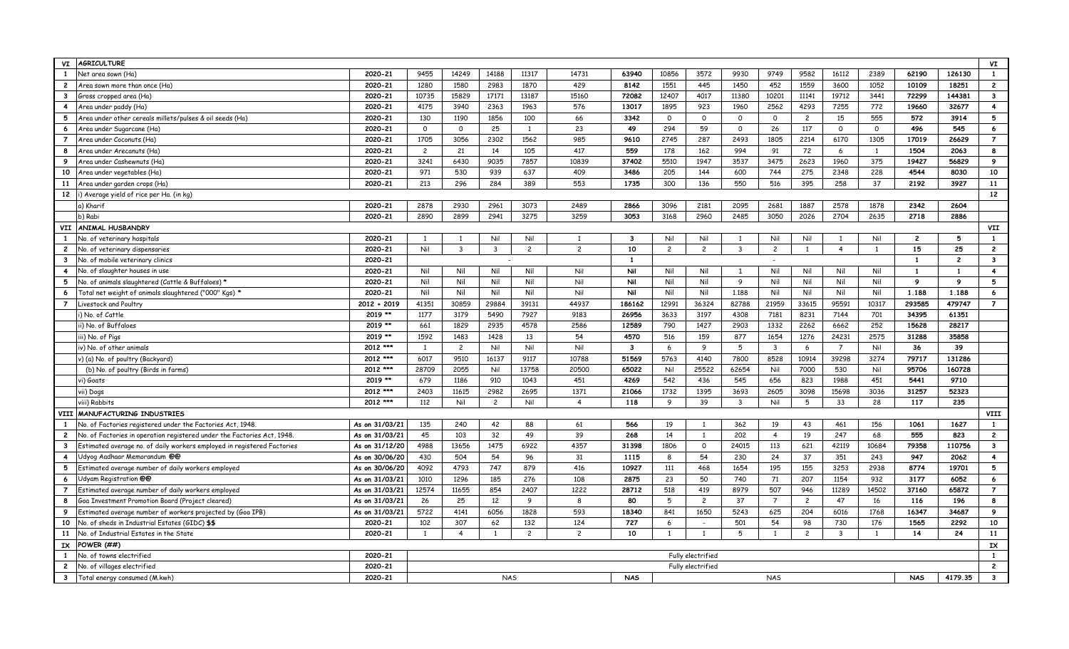| <b>AGRICULTURE</b><br>VI                                                                |                |                   |                         |                |                |                         |                         |                |                   |                |                         |                |                |                | VI             |                |                         |
|-----------------------------------------------------------------------------------------|----------------|-------------------|-------------------------|----------------|----------------|-------------------------|-------------------------|----------------|-------------------|----------------|-------------------------|----------------|----------------|----------------|----------------|----------------|-------------------------|
| 1<br>Net area sown (Ha)                                                                 | 2020-21        | 9455              | 14249                   | 14188          | 11317          | 14731                   | 63940                   | 10856          | 3572              | 9930           | 9749                    | 9582           | 16112          | 2389           | 62190          | 126130         | $\mathbf{1}$            |
| $\overline{c}$<br>Area sown more than once (Ha)                                         | 2020-21        | 1280              | 1580                    | 2983           | 1870           | 429                     | 8142                    | 1551           | 445               | 1450           | 452                     | 1559           | 3600           | 1052           | 10109          | 18251          | $\overline{2}$          |
| $\mathbf{3}$<br>Gross cropped area (Ha)                                                 | 2020-21        | 10735             | 15829                   | 17171          | 13187          | 15160                   | 72082                   | 12407          | 4017              | 11380          | 10201                   | 11141          | 19712          | 3441           | 72299          | 144381         | $\mathbf{3}$            |
| $\overline{4}$<br>Area under paddy (Ha)                                                 | 2020-21        | 4175              | 3940                    | 2363           | 1963           | 576                     | 13017                   | 1895           | 923               | 1960           | 2562                    | 4293           | 7255           | 772            | 19660          | 32677          | $\overline{4}$          |
| 5<br>Area under other cereals millets/pulses & oil seeds (Ha)                           | 2020-21        | 130               | 1190                    | 1856           | 100            | 66                      | 3342                    | $\circ$        | $\mathsf{o}$      | $\circ$        | $\circ$                 | $\overline{c}$ | 15             | 555            | 572            | 3914           | 5                       |
| 6<br>Area under Sugarcane (Ha)                                                          | 2020-21        | $\Omega$          | $\mathsf{o}$            | 25             | $\overline{1}$ | 23                      | 49                      | 294            | 59                | $\mathsf{O}$   | 26                      | 117            | $\mathsf{O}$   | $\mathsf{O}$   | 496            | 545            | $\boldsymbol{6}$        |
| $\overline{7}$<br>Area under Coconuts (Ha)                                              | 2020-21        | 1705              | 3056                    | 2302           | 1562           | 985                     | 9610                    | 2745           | 287               | 2493           | 1805                    | 2214           | 6170           | 1305           | 17019          | 26629          | $\overline{7}$          |
| 8<br>Area under Arecanuts (Ha)                                                          | 2020-21        | $\overline{c}$    | 21                      | 14             | 105            | 417                     | 559                     | 178            | 162               | 994            | 91                      | 72             | 6              | $\overline{1}$ | 1504           | 2063           | 8                       |
| 9<br>Area under Cashewnuts (Ha)                                                         | 2020-21        | 3241              | 6430                    | 9035           | 7857           | 10839                   | 37402                   | 5510           | 1947              | 3537           | 3475                    | 2623           | 1960           | 375            | 19427          | 56829          | 9                       |
| 10<br>Area under vegetables (Ha)                                                        | 2020-21        | 971               | 530                     | 939            | 637            | 409                     | 3486                    | 205            | 144               | 600            | 744                     | 275            | 2348           | 228            | 4544           | 8030           | 10                      |
| 11<br>Area under garden crops (Ha)                                                      | 2020-21        | 213               | 296                     | 284            | 389            | 553                     | 1735                    | 300            | 136               | 550            | 516                     | 395            | 258            | 37             | 2192           | 3927           | 11                      |
| 12<br>i) Average yield of rice per Ha. (in kg)                                          |                |                   |                         |                |                |                         |                         |                |                   |                |                         |                |                |                |                |                | 12                      |
| a) Kharif                                                                               | 2020-21        | 2878              | 2930                    | 2961           | 3073           | 2489                    | 2866                    | 3096           | 2181              | 2095           | 2681                    | 1887           | 2578           | 1878           | 2342           | 2604           |                         |
| b) Rabi                                                                                 | 2020-21        | 2890              | 2899                    | 2941           | 3275           | 3259                    | 3053                    | 3168           | 2960              | 2485           | 3050                    | 2026           | 2704           | 2635           | 2718           | 2886           |                         |
| <b>ANIMAL HUSBANDRY</b><br><b>VII</b>                                                   |                |                   |                         |                |                |                         |                         |                |                   |                |                         |                |                |                |                |                | VII                     |
| No. of veterinary hospitals<br>$\mathbf{1}$                                             | 2020-21        | 1                 | 1                       | Nil            | Nil            | 1                       | $\overline{\mathbf{3}}$ | Nil            | Nil               | $\overline{1}$ | Nil                     | Nil            | $\overline{1}$ | Nil            | $\overline{c}$ | 5              | $\mathbf{1}$            |
| $\overline{2}$<br>No. of veterinary dispensaries                                        | 2020-21        | Nil               | $\overline{\mathbf{3}}$ | $\mathbf{3}$   | $\overline{c}$ | $\overline{c}$          | 10                      | $\overline{c}$ | $\overline{c}$    | $\mathbf{3}$   | $\overline{c}$          | $\overline{1}$ | $\overline{4}$ | $\overline{1}$ | 15             | 25             | $\overline{c}$          |
| $\mathbf{3}$<br>No. of mobile veterinary clinics                                        | 2020-21        |                   |                         |                |                |                         | 1                       |                |                   |                |                         |                |                |                | $\mathbf{1}$   | $\overline{c}$ | $\overline{\mathbf{3}}$ |
| $\overline{4}$<br>No. of slaughter houses in use                                        | 2020-21        | Nil               | Nil                     | Nil            | Nil            | Nil                     | Nil                     | Nil            | Nil               | $\overline{1}$ | Nil                     | Nil            | Nil            | Nil            | $\mathbf{1}$   | $\mathbf{1}$   | $\overline{4}$          |
| 5<br>No. of animals slaughtered (Cattle & Buffaloes)*                                   | 2020-21        | Nil               | Nil                     | Nil            | Nil            | Nil                     | Nil                     | Nil            | Nil               | 9              | Nil                     | Nil            | Nil            | Nil            | 9              | $\mathbf{9}$   | 5                       |
| Total net weight of animals slaughtered ("000" Kgs) *<br>6                              | 2020-21        | Nil               | Nil                     | Nil            | Nil            | Nil                     | Nil                     | Nil            | Nil               | 1.188          | Nil                     | Nil            | Nil            | Nil            | 1,188          | 1.188          | 6                       |
| $\overline{7}$<br>Livestock and Poultry                                                 | $2012 + 2019$  | 41351             | 30859                   | 29884          | 39131          | 44937                   | 186162                  | 12991          | 36324             | 82788          | 21959                   | 33615          | 95591          | 10317          | 293585         | 479747         | $\overline{7}$          |
| i) No. of Cattle                                                                        | 2019 **        | 1177              | 3179                    | 5490           | 7927           | 9183                    | 26956                   | 3633           | 3197              | 4308           | 7181                    | 8231           | 7144           | 701            | 34395          | 61351          |                         |
| ii) No. of Buffaloes                                                                    | 2019 **        | 661               | 1829                    | 2935           | 4578           | 2586                    | 12589                   | 790            | 1427              | 2903           | 1332                    | 2262           | 6662           | 252            | 15628          | 28217          |                         |
| iii) No. of Pigs                                                                        | 2019 **        | 1592              | 1483                    | 1428           | 13             | 54                      | 4570                    | 516            | 159               | 877            | 1654                    | 1276           | 24231          | 2575           | 31288          | 35858          |                         |
| iv) No. of other animals                                                                | 2012 ***       | 1                 | $\overline{c}$          | Nil            | Nil            | Nil                     | $\mathbf{3}$            | 6              | 9                 | 5              | $\overline{\mathbf{3}}$ | 6              | $\overline{7}$ | Nil            | 36             | 39             |                         |
| v) (a) No. of poultry (Backyard)                                                        | 2012 ***       | 6017              | 9510                    | 16137          | 9117           | 10788                   | 51569                   | 5763           | 4140              | 7800           | 8528                    | 10914          | 39298          | 3274           | 79717          | 131286         |                         |
| (b) No. of poultry (Birds in farms)                                                     | 2012 ***       | 28709             | 2055                    | Nil            | 13758          | 20500                   | 65022                   | Nil            | 25522             | 62654          | Nil                     | 7000           | 530            | Nil            | 95706          | 160728         |                         |
| vi) Goats                                                                               | 2019 **        | 679               | 1186                    | 910            | 1043           | 451                     | 4269                    | 542            | 436               | 545            | 656                     | 823            | 1988           | 451            | 5441           | 9710           |                         |
| vii) Dogs                                                                               | 2012 ***       | 2403              | 11615                   | 2982           | 2695           | 1371                    | 21066                   | 1732           | 1395              | 3693           | 2605                    | 3098           | 15698          | 3036           | 31257          | 52323          |                         |
| viii) Rabbits                                                                           | 2012 ***       | 112               | Nil                     | $\overline{c}$ | Nil            | $\overline{\mathbf{A}}$ | 118                     | 9              | 39                | $\overline{3}$ | Nil                     | 5              | 33             | 28             | 117            | 235            |                         |
| MANUFACTURING INDUSTRIES<br><b>VIII</b>                                                 |                |                   |                         |                |                |                         |                         |                |                   |                |                         |                |                |                |                |                | <b>VIII</b>             |
| No. of Factories registered under the Factories Act, 1948.<br>$\mathbf{1}$              | As on 31/03/21 | 135               | 240                     | 42             | 88             | 61                      | 566                     | 19             | 1                 | 362            | 19                      | 43             | 461            | 156            | 1061           | 1627           | $\mathbf{1}$            |
| $\mathbf{2}$<br>No. of Factories in operation registered under the Factories Act, 1948. | As on 31/03/21 | 45                | 103                     | 32             | 49             | 39                      | 268                     | 14             | 1                 | 202            | $\overline{4}$          | 19             | 247            | 68             | 555            | 823            | $\overline{2}$          |
| $\mathbf{3}$<br>Estimated average no. of daily workers employed in registered Factories | As on 31/12/20 | 4988              | 13656                   | 1475           | 6922           | 4357                    | 31398                   | 1806           | $\circ$           | 24015          | 113                     | 621            | 42119          | 10684          | 79358          | 110756         | $\mathbf{3}$            |
| $\overline{4}$<br>Udyog Aadhaar Memorandum @@                                           | As on 30/06/20 | 430               | 504                     | 54             | 96             | 31                      | 1115                    | 8              | 54                | 230            | 24                      | 37             | 351            | 243            | 947            | 2062           | $\overline{\mathbf{4}}$ |
| 5<br>Estimated average number of daily workers employed                                 | As on 30/06/20 | 4092              | 4793                    | 747            | 879            | 416                     | 10927                   | 111            | 468               | 1654           | 195                     | 155            | 3253           | 2938           | 8774           | 19701          | 5                       |
| 6<br>Udyam Registration @@                                                              | As on 31/03/21 | 1010              | 1296                    | 185            | 276            | 108                     | 2875                    | 23             | 50                | 740            | 71                      | 207            | 1154           | 932            | 3177           | 6052           | 6                       |
| $\overline{7}$<br>Estimated average number of daily workers employed                    | As on 31/03/21 | 12574             | 11655                   | 854            | 2407           | 1222                    | 28712                   | 518            | 419               | 8979           | 507                     | 946            | 11289          | 14502          | 37160          | 65872          | $\overline{7}$          |
| 8<br>Goa Investment Promotion Board (Project cleared)                                   | As on 31/03/21 | 26                | 25                      | 12             | 9              | 8                       | 80                      | 5              | $\overline{c}$    | 37             | $\overline{7}$          | $\overline{c}$ | 47             | 16             | 116            | 196            | 8                       |
| 9<br>Estimated average number of workers projected by (Goa IPB)                         | As on 31/03/21 | 5722              | 4141                    | 6056           | 1828           | 593                     | 18340                   | 841            | 1650              | 5243           | 625                     | 204            | 6016           | 1768           | 16347          | 34687          | 9                       |
| No. of sheds in Industrial Estates (GIDC) \$\$<br>10                                    | 2020-21        | 102               | 307                     | 62             | 132            | 124                     | 727                     | 6              | $\sim$            | 501            | 54                      | 98             | 730            | 176            | 1565           | 2292           | 10                      |
| No. of Industrial Estates in the State<br>11                                            | 2020-21        | 1                 | $\overline{4}$          | 1              | $\overline{c}$ | $\overline{c}$          | 10                      | $\mathbf{1}$   | $\overline{1}$    | 5              | $\overline{1}$          | $\overline{c}$ | $\overline{3}$ | $\overline{1}$ | 14             | 24             | 11                      |
| POWER (##)<br>IX                                                                        |                |                   |                         |                |                |                         |                         |                |                   |                |                         |                |                |                |                | IX             |                         |
| 1<br>No. of towns electrified                                                           | 2020-21        | Fully electrified |                         |                |                |                         |                         |                |                   |                |                         |                |                |                |                | $\mathbf{1}$   |                         |
| $\overline{c}$<br>No. of villages electrified                                           | 2020-21        |                   |                         |                |                |                         |                         |                | Fully electrified |                |                         |                |                |                | $\overline{c}$ |                |                         |
| $\mathbf{3}$<br>Total energy consumed (M.kwh)                                           | 2020-21        |                   |                         | <b>NAS</b>     |                |                         | <b>NAS</b>              |                |                   |                | <b>NAS</b>              |                |                |                | <b>NAS</b>     | 4179.35        | 3                       |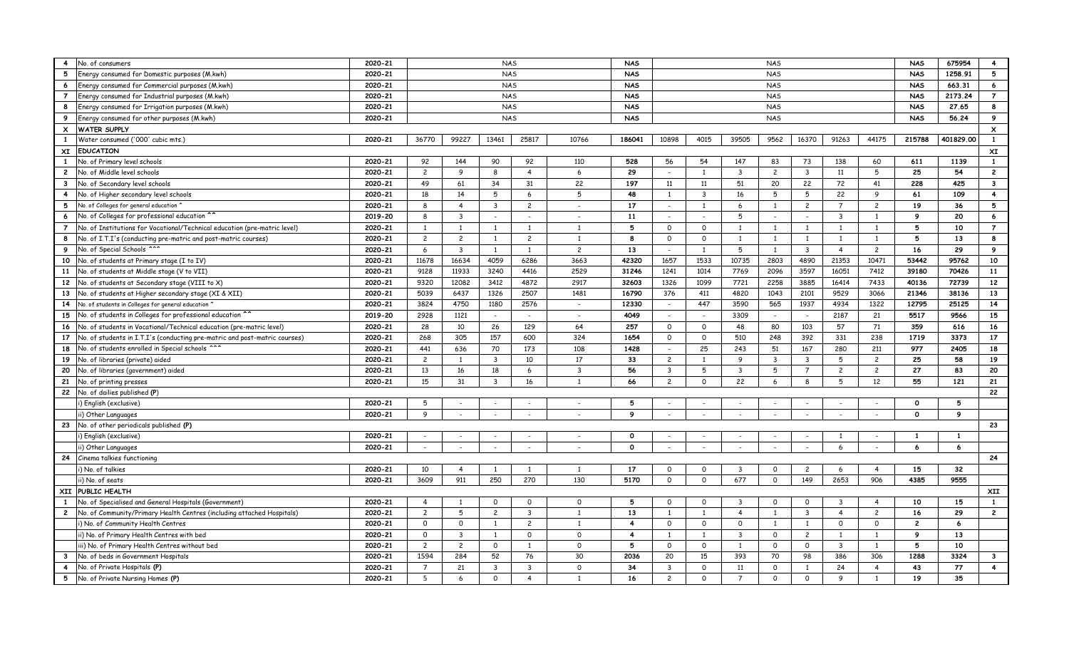| $\overline{4}$            | No. of consumers                                                           | 2020-21 |                |                | <b>NAS</b>     |                          |                          | <b>NAS</b>     |                          |                |                         |                          | <b>NAS</b>          | 675954         | $\overline{4}$  |                |              |                           |
|---------------------------|----------------------------------------------------------------------------|---------|----------------|----------------|----------------|--------------------------|--------------------------|----------------|--------------------------|----------------|-------------------------|--------------------------|---------------------|----------------|-----------------|----------------|--------------|---------------------------|
| 5                         | Energy consumed for Domestic purposes (M.kwh)                              | 2020-21 |                |                | <b>NAS</b>     |                          |                          | <b>NAS</b>     |                          |                |                         |                          | <b>NAS</b>          | 1258.91        | 5               |                |              |                           |
| 6                         | Energy consumed for Commercial purposes (M.kwh)                            | 2020-21 |                |                | <b>NAS</b>     |                          |                          | <b>NAS</b>     |                          |                |                         |                          | <b>NAS</b>          | 663.31         | $6\phantom{.}6$ |                |              |                           |
| $\overline{7}$            | Energy consumed for Industrial purposes (M.kwh)                            | 2020-21 |                |                | <b>NAS</b>     |                          |                          | <b>NAS</b>     |                          |                |                         |                          | <b>NAS</b>          | 2173.24        | $\overline{7}$  |                |              |                           |
| 8                         | Energy consumed for Irrigation purposes (M.kwh)                            | 2020-21 |                |                | <b>NAS</b>     |                          |                          | <b>NAS</b>     |                          |                |                         |                          | <b>NAS</b>          | 27.65          | 8               |                |              |                           |
| 9                         | Energy consumed for other purposes (M.kwh)                                 | 2020-21 |                |                | <b>NAS</b>     |                          |                          | <b>NAS</b>     |                          |                |                         |                          | <b>NAS</b>          | 56.24          | 9               |                |              |                           |
| $\boldsymbol{\mathsf{x}}$ | <b>WATER SUPPLY</b>                                                        |         |                |                |                |                          |                          |                |                          |                |                         |                          |                     |                |                 |                |              | $\boldsymbol{\mathsf{x}}$ |
| 1                         | Water consumed ('000' cubic mts.)                                          | 2020-21 | 36770          | 99227          | 13461          | 25817                    | 10766                    | 186041         | 10898                    | 4015           | 39505                   | 9562                     | 16370               | 91263          | 44175           | 215788         | 401829.00    | $\mathbf{1}$              |
| XI                        | <b>EDUCATION</b>                                                           |         |                |                |                |                          |                          |                |                          |                |                         |                          |                     |                |                 |                |              | XI                        |
| 1                         | No. of Primary level schools                                               | 2020-21 | 92             | 144            | 90             | 92                       | 110                      | 528            | 56                       | 54             | 147                     | 83                       | 73                  | 138            | 60              | 611            | 1139         | $\mathbf{1}$              |
| $\mathbf{2}$              | No. of Middle level schools                                                | 2020-21 | $\overline{c}$ | 9              | 8              | $\overline{4}$           | 6                        | 29             | $\sim$                   | 1              | $\overline{\mathbf{3}}$ | $\overline{c}$           | $\overline{3}$      | 11             | 5               | 25             | 54           | $\overline{c}$            |
| $\mathbf{3}$              | No. of Secondary level schools                                             | 2020-21 | 49             | 61             | 34             | 31                       | 22                       | 197            | 11                       | 11             | 51                      | 20                       | 22                  | 72             | 41              | 228            | 425          | $\mathbf{3}$              |
| $\overline{4}$            | No. of Higher secondary level schools                                      | 2020-21 | 18             | 14             | 5              | 6                        | 5                        | 48             | 1                        | $\overline{3}$ | 16                      | 5                        | 5                   | 22             | 9               | 61             | 109          | $\overline{4}$            |
| 5                         | No. of Colleges for general education                                      | 2020-21 | 8              | $\overline{4}$ | $\overline{3}$ | $\overline{c}$           | $\overline{\phantom{a}}$ | 17             | $\sim$                   | 1              | 6                       | $\overline{1}$           | $\overline{c}$      | $\overline{7}$ | $\overline{c}$  | 19             | 36           | 5                         |
| 6                         | No. of Colleges for professional education                                 | 2019-20 | $\mathsf{R}$   | $\mathbf{3}$   |                | $\sim$                   | $\sim$                   | 11             | $\sim$                   |                | 5                       | $\sim$                   |                     | $\mathbf{3}$   | <sup>1</sup>    | 9              | 20           | 6                         |
| $\overline{7}$            | No. of Institutions for Vocational/Technical education (pre-matric level)  | 2020-21 | <sup>1</sup>   | <sup>1</sup>   | $\mathbf{1}$   | $\mathbf{1}$             | $\mathbf{1}$             | 5              | $\circ$                  | $\Omega$       | $\overline{1}$          | $\overline{1}$           | $\overline{1}$      | $\overline{1}$ | $\mathbf{1}$    | 5              | 10           | $\overline{7}$            |
| 8                         | No. of I.T.I's (conducting pre-matric and post-matric courses)             | 2020-21 | $\overline{c}$ | $\overline{c}$ | 1              | $\overline{c}$           | <sup>1</sup>             | 8              | $\circ$                  | $\mathsf{o}$   | $\overline{1}$          | $\overline{1}$           | $\overline{1}$      | 1              | $\mathbf{1}$    | 5              | 13           | 8                         |
| 9                         | No. of Special Schools ^^^                                                 | 2020-21 | 6              | $\overline{3}$ | $\mathbf{1}$   | $\overline{1}$           | $\overline{c}$           | 13             | $\sim$                   |                | 5                       | $\overline{1}$           | $\overline{3}$      | $\overline{4}$ | $\overline{c}$  | 16             | 29           | 9                         |
| 10                        | No. of students at Primary stage (I to IV)                                 | 2020-21 | 11678          | 16634          | 4059           | 6286                     | 3663                     | 42320          | 1657                     | 1533           | 10735                   | 2803                     | 4890                | 21353          | 10471           | 53442          | 95762        | 10                        |
| 11                        | No. of students at Middle stage (V to VII)                                 | 2020-21 | 9128           | 11933          | 3240           | 4416                     | 2529                     | 31246          | 1241                     | 1014           | 7769                    | 2096                     | 3597                | 16051          | 7412            | 39180          | 70426        | 11                        |
| 12                        | No. of students at Secondary stage (VIII to X)                             | 2020-21 | 9320           | 12082          | 3412           | 4872                     | 2917                     | 32603          | 1326                     | 1099           | 7721                    | 2258                     | 3885                | 16414          | 7433            | 40136          | 72739        | 12                        |
| 13                        | No. of students at Higher secondary stage (XI & XII)                       | 2020-21 | 5039           | 6437           | 1326           | 2507                     | 1481                     | 16790          | 376                      | 411            | 4820                    | 1043                     | 2101                | 9529           | 3066            | 21346          | 38136        | 13                        |
| 14                        | No. of students in Colleges for general education                          | 2020-21 | 3824           | 4750           | 1180           | 2576                     | $\overline{\phantom{a}}$ | 12330          | $\sim$                   | 447            | 3590                    | 565                      | 1937                | 4934           | 1322            | 12795          | 25125        | 14                        |
| 15                        | No. of students in Colleges for professional education                     | 2019-20 | 2928           | 1121           | $\sim$         | $\sim$                   | $\overline{a}$           | 4049           | $\sim$                   | $\sim$         | 3309                    | $\overline{\phantom{a}}$ | $\sim$              | 2187           | 21              | 5517           | 9566         | 15                        |
| 16                        | No. of students in Vocational/Technical education (pre-matric level)       | 2020-21 | 28             | 10             | 26             | 129                      | 64                       | 257            | $\circ$                  | $\mathsf{o}$   | 48                      | 80                       | 103                 | 57             | 71              | 359            | 616          | 16                        |
| 17                        | No. of students in I.T.I's (conducting pre-matric and post-matric courses) | 2020-21 | 268            | 305            | 157            | 600                      | 324                      | 1654           | $\circ$                  | $\mathsf{o}$   | 510                     | 248                      | 392                 | 331            | 238             | 1719           | 3373         | 17                        |
| 18                        | No. of students enrolled in Special schools ^^'                            | 2020-21 | 441            | 636            | 70             | 173                      | 108                      | 1428           | $\sim$                   | 25             | 243                     | 51                       | 167                 | 280            | 211             | 977            | 2405         | 18                        |
| 19                        | No. of libraries (private) aided                                           | 2020-21 | $\overline{c}$ | 1              | $\overline{3}$ | 10                       | 17                       | 33             | $\overline{c}$           | 1              | 9                       | $\overline{3}$           | $\overline{3}$      | 5              | $\overline{c}$  | 25             | 58           | 19                        |
| 20                        | No. of libraries (government) aided                                        | 2020-21 | 13             | 16             | 18             | 6                        | $\overline{3}$           | 56             | $\mathbf{3}$             | 5              | $\overline{\mathbf{3}}$ | 5                        | $\overline{7}$      | $\overline{c}$ | $\overline{c}$  | 27             | 83           | 20                        |
| 21                        | No. of printing presses                                                    | 2020-21 | 15             | 31             | $\overline{3}$ | 16                       | $\overline{1}$           | 66             | $\overline{c}$           | $\mathsf{o}$   | 22                      | 6                        | 8                   | 5              | 12              | 55             | 121          | 21                        |
|                           | 22 No. of dailies published (P)                                            |         |                |                |                |                          |                          |                |                          |                |                         |                          |                     |                |                 |                |              | 22                        |
|                           | i) English (exclusive)                                                     | 2020-21 | 5              |                |                | $\sim$                   |                          | 5              | $\sim$                   |                |                         | $\sim$                   |                     |                | $\sim$          | $\circ$        | 5            |                           |
|                           | ii) Other Languages                                                        | 2020-21 | 9              |                |                | $\sim$                   |                          | 9              | $\sim$                   |                | $\overline{a}$          | $\sim$                   | $\sim$              | $\sim$         | $\sim$          | $\mathbf{o}$   | 9            |                           |
|                           | 23 No. of other periodicals published (P)                                  |         |                |                |                |                          |                          |                |                          |                |                         |                          |                     |                |                 |                |              | 23                        |
|                           | i) English (exclusive)                                                     | 2020-21 |                |                |                | $\blacksquare$           |                          | $\circ$        | $\blacksquare$           |                |                         |                          |                     | 1              |                 | 1              | $\mathbf{1}$ |                           |
|                           | ii) Other Languages                                                        | 2020-21 |                |                |                | $\overline{\phantom{a}}$ |                          | $\Omega$       | $\overline{\phantom{a}}$ |                |                         |                          |                     | 6              |                 | 6              | 6            |                           |
| 24                        | Cinema talkies functioning                                                 |         |                |                |                |                          |                          |                |                          |                |                         |                          |                     |                |                 |                |              | 24                        |
|                           | i) No. of talkies                                                          | 2020-21 | 10             | $\overline{4}$ | 1              | $\mathbf{1}$             | 1                        | 17             | $\circ$                  | $\mathsf{o}$   | $\overline{\mathbf{3}}$ | $\circ$                  | $\mathbf{2}$        | 6              | $\overline{4}$  | 15             | 32           |                           |
|                           | ii) No. of seats                                                           | 2020-21 | 3609           | 911            | 250            | 270                      | 130                      | 5170           | $\circ$                  | $\circ$        | 677                     | $\circ$                  | 149                 | 2653           | 906             | 4385           | 9555         |                           |
| XII                       | PUBLIC HEALTH                                                              |         |                |                |                |                          |                          |                |                          |                |                         | XII                      |                     |                |                 |                |              |                           |
| $\mathbf{1}$              | No. of Specialised and General Hospitals (Government)                      | 2020-21 | $\overline{4}$ |                | $\Omega$       | $\mathsf{o}$             | $\circ$                  | 5              | $\circ$                  | $\mathsf{o}$   | $\overline{3}$          | $\circ$                  | $\circ$             | 3              | $\overline{4}$  | 10             | 15           | $\mathbf{1}$              |
| $\overline{c}$            | No. of Community/Primary Health Centres (including attached Hospitals)     | 2020-21 | $\overline{2}$ | 5              | $\overline{c}$ | $\overline{3}$           | $\mathbf{1}$             | 13             | 1                        | 1              | $\overline{4}$          | $\overline{1}$           | $\overline{3}$      | $\overline{4}$ | $\overline{c}$  | 16             | 29           | $\overline{2}$            |
|                           | i) No. of Community Health Centres                                         | 2020-21 | $\Omega$       | $\mathbf 0$    | 1              | $\overline{c}$           | 1                        | $\overline{4}$ | $\circ$                  | $\mathsf{o}$   | $\mathsf{o}$            | $\overline{1}$           | 1                   | $\mathsf{o}$   | $\mathsf{o}$    | $\overline{c}$ | 6            |                           |
|                           | ii) No. of Primary Health Centres with bed                                 | 2020-21 | $\mathbf 0$    | $\overline{3}$ | 1              | $\mathsf{o}$             | $\circ$                  | $\overline{4}$ | $\overline{1}$           | 1              | $\overline{3}$          | $\circ$                  | $\overline{2}$      | 1              | <sup>1</sup>    | 9              | 13           |                           |
|                           | iii) No. of Primary Health Centres without bed                             | 2020-21 | $\overline{2}$ | $\overline{2}$ | $\mathsf{o}$   | $\mathbf{1}$             | $\mathsf{O}$             | 5              | $\circ$                  | $\mathsf{o}$   | $\overline{1}$          | $\circ$                  | $\mathsf{O}\xspace$ | $\overline{3}$ | $\mathbf{1}$    | 5              | 10           |                           |
| $\mathbf{3}$              | No. of beds in Government Hospitals                                        | 2020-21 | 1594           | 284            | 52             | 76                       | 30                       | 2036           | 20                       | 15             | 393                     | 70                       | 98                  | 386            | 306             | 1288           | 3324         | $\overline{\mathbf{3}}$   |
| 4                         | No. of Private Hospitals (P)                                               | 2020-21 | $\overline{7}$ | 21             | 3              | $\mathbf{3}$             | $\circ$                  | 34             | $\overline{3}$           | $\Omega$       | 11                      | $\circ$                  | 1                   | 24             | $\overline{4}$  | 43             | 77           | $\overline{\mathbf{4}}$   |
| 5                         | No. of Private Nursing Homes (P)                                           | 2020-21 | 5              | 6              | $\mathsf{o}$   | $\overline{4}$           | $\mathbf{1}$             | 16             | $\overline{c}$           | $\Omega$       | $\overline{7}$          | $\circ$                  | $\mathsf{o}$        | 9              | <sup>1</sup>    | 19             | 35           |                           |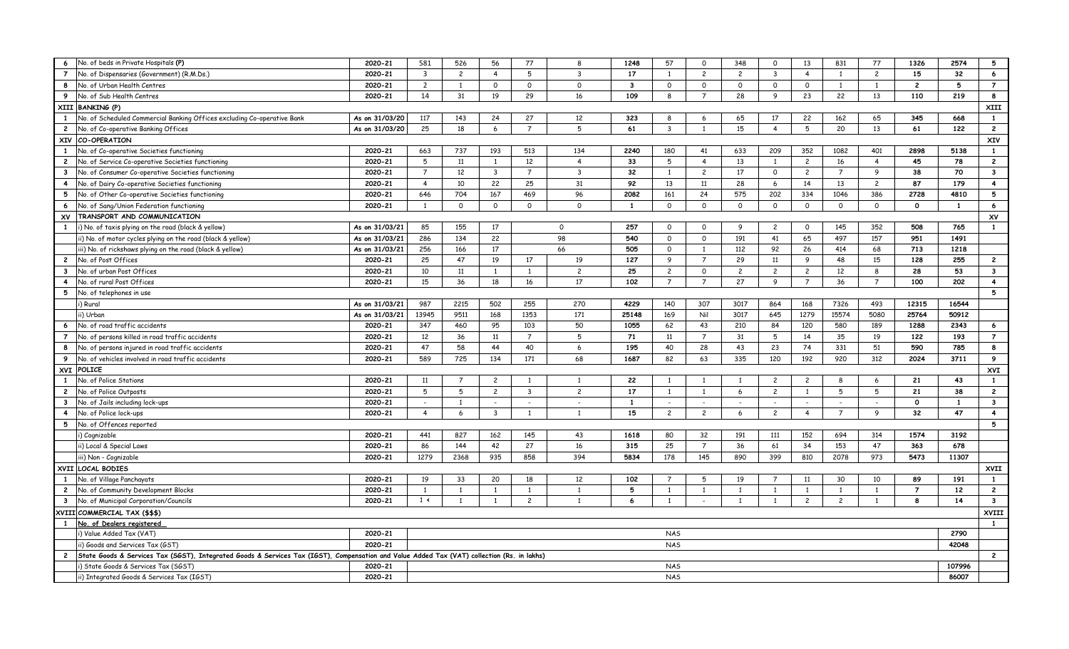| 6                       | No. of beds in Private Hospitals (P)                                                                                                        | 2020-21        | 581            | 526            | 56             | 77             | 8              | 1248         | 57                      | $\mathsf{o}$   | 348                      | $\circ$                 | 13                       | 831            | 77             | 1326           | 2574         | 5                       |
|-------------------------|---------------------------------------------------------------------------------------------------------------------------------------------|----------------|----------------|----------------|----------------|----------------|----------------|--------------|-------------------------|----------------|--------------------------|-------------------------|--------------------------|----------------|----------------|----------------|--------------|-------------------------|
| $\overline{7}$          | No. of Dispensaries (Government) (R.M.Ds.)                                                                                                  | 2020-21        | $\overline{3}$ | $\overline{2}$ | $\overline{4}$ | 5              | $\overline{3}$ | 17           | 1                       | $\overline{2}$ | $\overline{c}$           | $\overline{\mathbf{3}}$ | $\overline{4}$           | 1              | $\overline{c}$ | 15             | 32           | $6\overline{6}$         |
| 8                       | No. of Urban Health Centres                                                                                                                 | 2020-21        | $\overline{2}$ | 1              | $\mathsf{O}$   | $\circ$        | $\mathsf{O}$   | $\mathbf{3}$ | $\circ$                 | $\mathsf{o}$   | $\mathsf{o}$             | $\mathsf{o}$            | $\mathsf{o}$             | 1              | $\mathbf{1}$   | $\overline{c}$ | 5            | $\overline{7}$          |
| 9                       | No. of Sub Health Centres                                                                                                                   | 2020-21        | 14             | 31             | 19             | 29             | 16             | 109          | 8                       | $\overline{7}$ | 28                       | 9                       | 23                       | 22             | 13             | 110            | 219          | 8                       |
|                         | XIII BANKING (P)                                                                                                                            |                |                |                |                |                |                |              |                         |                |                          |                         |                          |                |                |                |              | XIII                    |
| 1                       | No. of Scheduled Commercial Banking Offices excluding Co-operative Bank                                                                     | As on 31/03/20 | 117            | 143            | 24             | 27             | 12             | 323          | 8                       | 6              | 65                       | 17                      | 22                       | 162            | 65             | 345            | 668          | $\mathbf{1}$            |
| $\mathbf{2}$            | No. of Co-operative Banking Offices                                                                                                         | As on 31/03/20 | 25             | 18             | 6              | $\overline{7}$ | 5              | 61           | $\overline{\mathbf{3}}$ | $\overline{1}$ | 15                       | $\overline{4}$          | 5                        | 20             | 13             | 61             | 122          | $\overline{2}$          |
|                         | XIV CO-OPERATION                                                                                                                            |                |                |                |                |                |                |              |                         |                |                          |                         |                          |                |                |                |              | XIV                     |
| 1                       | No. of Co-operative Societies functioning                                                                                                   | 2020-21        | 663            | 737            | 193            | 513            | 134            | 2240         | 180                     | 41             | 633                      | 209                     | 352                      | 1082           | 401            | 2898           | 5138         | $\mathbf{1}$            |
| $\overline{2}$          | No. of Service Co-operative Societies functioning                                                                                           | 2020-21        | 5              | 11             | 1              | 12             | $\overline{4}$ | 33           | 5                       | $\overline{4}$ | 13                       | $\overline{1}$          | $\overline{c}$           | 16             | $\overline{4}$ | 45             | 78           | $\overline{2}$          |
| $\mathbf{3}$            | No. of Consumer Co-operative Societies functioning                                                                                          | 2020-21        | $\overline{7}$ | 12             | $\overline{3}$ | $\overline{7}$ | $\mathbf{3}$   | 32           | 1                       | $\overline{c}$ | 17                       | $\circ$                 | $\overline{2}$           | $\overline{7}$ | 9              | 38             | 70           | $\mathbf{3}$            |
| $\overline{\mathbf{4}}$ | No. of Dairy Co-operative Societies functioning                                                                                             | 2020-21        | $\overline{4}$ | 10             | 22             | 25             | 31             | 92           | 13                      | 11             | 28                       | 6                       | 14                       | 13             | $\overline{c}$ | 87             | 179          | $\overline{\mathbf{4}}$ |
| 5                       | No. of Other Co-operative Societies functioning                                                                                             | 2020-21        | 646            | 704            | 167            | 469            | 96             | 2082         | 161                     | 24             | 575                      | 202                     | 334                      | 1046           | 386            | 2728           | 4810         | 5                       |
| 6 <sup>6</sup>          | No. of Sang/Union Federation functioning                                                                                                    | 2020-21        | $\mathbf{1}$   | $\circ$        | $\mathsf{o}$   | $\Omega$       | $\circ$        | 1            | $\circ$                 | $\circ$        | $\circ$                  | $\circ$                 | $\mathsf{o}$             | $\mathsf{o}$   | $\circ$        | $\Omega$       | $\mathbf{1}$ | 6                       |
| XV                      | TRANSPORT AND COMMUNICATION                                                                                                                 |                |                |                |                |                |                |              |                         |                |                          |                         |                          |                |                | XV             |              |                         |
| $\mathbf{1}$            | i) No. of taxis plying on the road (black & yellow)                                                                                         | As on 31/03/21 | 85             | 155            | 17             |                | $\Omega$       | 257          | $\circ$                 | $\Omega$       | 9                        | $\overline{c}$          | $\Omega$                 | 145            | 352            | 508            | 765          | $\mathbf{1}$            |
|                         | ii) No. of motor cycles plying on the road (black & yellow)                                                                                 | As on 31/03/21 | 286            | 134            | 22             |                | 98             | 540          | $\circ$                 | $\circ$        | 191                      | 41                      | 65                       | 497            | 157            | 951            | 1491         |                         |
|                         | iii) No. of rickshaws plying on the road (black & yellow)                                                                                   | As on 31/03/21 | 256            | 166            | 17             |                | 66             | 505          | $\circ$                 | $\mathbf{1}$   | 112                      | 92                      | 26                       | 414            | 68             | 713            | 1218         |                         |
| $\overline{c}$          | No. of Post Offices                                                                                                                         | 2020-21        | 25             | 47             | 19             | 17             | 19             | 127          | 9                       | $\overline{7}$ | 29                       | 11                      | 9                        | 48             | 15             | 128            | 255          | $\overline{c}$          |
| $\mathbf{3}$            | No. of urban Post Offices                                                                                                                   | 2020-21        | 10             | 11             | 1              | $\mathbf{1}$   | $\overline{c}$ | 25           | $\overline{c}$          | $\mathsf{o}$   | $\overline{c}$           | $\overline{c}$          | $\overline{c}$           | 12             | 8              | 28             | 53           | $\mathbf{3}$            |
| $\overline{4}$          | No. of rural Post Offices                                                                                                                   | 2020-21        | 15             | 36             | 18             | 16             | 17             | 102          | $\overline{7}$          | $\overline{7}$ | 27                       | 9                       | $\overline{7}$           | 36             | $\overline{7}$ | 100            | 202          | $\overline{\mathbf{4}}$ |
| 5                       | No. of telephones in use                                                                                                                    |                |                |                |                |                |                |              |                         |                |                          |                         |                          |                |                |                |              | 5                       |
|                         | i) Rural                                                                                                                                    | As on 31/03/21 | 987            | 2215           | 502            | 255            | 270            | 4229         | 140                     | 307            | 3017                     | 864                     | 168                      | 7326           | 493            | 12315          | 16544        |                         |
|                         | ii) Urban                                                                                                                                   | As on 31/03/21 | 13945          | 9511           | 168            | 1353           | 171            | 25148        | 169                     | Nil            | 3017                     | 645                     | 1279                     | 15574          | 5080           | 25764          | 50912        |                         |
| 6                       | No. of road traffic accidents                                                                                                               | 2020-21        | 347            | 460            | 95             | 103            | 50             | 1055         | 62                      | 43             | 210                      | 84                      | 120                      | 580            | 189            | 1288           | 2343         | 6                       |
| $\overline{7}$          | No. of persons killed in road traffic accidents                                                                                             | 2020-21        | 12             | 36             | 11             | $\overline{7}$ | 5              | 71           | 11                      | $\overline{7}$ | 31                       | 5                       | 14                       | 35             | 19             | 122            | 193          | $\overline{7}$          |
| 8                       | No. of persons injured in road traffic accidents                                                                                            | 2020-21        | 47             | 58             | 44             | 40             | 6              | 195          | 40                      | 28             | 43                       | 23                      | 74                       | 331            | 51             | 590            | 785          | 8                       |
| 9                       | No. of vehicles involved in road traffic accidents                                                                                          | 2020-21        | 589            | 725            | 134            | 171            | 68             | 1687         | 82                      | 63             | 335                      | 120                     | 192                      | 920            | 312            | 2024           | 3711         | 9                       |
|                         | XVI POLICE                                                                                                                                  |                |                |                |                |                |                |              |                         |                |                          |                         |                          |                |                |                | XVI          |                         |
| 1                       | No. of Police Stations                                                                                                                      | 2020-21        | 11             | $\overline{7}$ | $\overline{c}$ | $\mathbf{1}$   | $\mathbf{1}$   | 22           | 1                       | 1              | $\overline{\mathbf{1}}$  | $\overline{c}$          | $\overline{c}$           | 8              | 6              | 21             | 43           | 1                       |
| $\mathbf{2}$            | No. of Police Outposts                                                                                                                      | 2020-21        | 5              | 5              | $\overline{c}$ | $\overline{3}$ | $\overline{2}$ | 17           | $\mathbf{1}$            | 1              | 6                        | $\overline{2}$          | 1                        | 5              | 5              | 21             | 38           | $\overline{2}$          |
| $\overline{\mathbf{3}}$ | No. of Jails including lock-ups                                                                                                             | 2020-21        | $\sim$         | $\mathbf{1}$   | $\overline{a}$ | $\sim$         | $\sim$         | $\mathbf{1}$ | $\sim$                  | $\sim$         | $\overline{\phantom{a}}$ | $\sim$                  | $\overline{\phantom{a}}$ |                | $\sim$         | $\Omega$       | $\mathbf{1}$ | $\mathbf{3}$            |
| $\overline{4}$          | No. of Police lock-ups                                                                                                                      | 2020-21        | $\overline{4}$ | 6              | $\mathbf{3}$   | <sup>1</sup>   | $\mathbf{1}$   | 15           | $\overline{2}$          | $\overline{2}$ | 6                        | $\overline{c}$          | $\overline{4}$           | $\overline{7}$ | 9              | 32             | 47           | $\overline{4}$          |
| 5                       | No. of Offences reported                                                                                                                    |                |                |                |                |                |                |              |                         |                |                          |                         |                          |                |                |                |              | 5                       |
|                         | i) Cognizable                                                                                                                               | 2020-21        | 441            | 827            | 162            | 145            | 43             | 1618         | 80                      | 32             | 191                      | 111                     | 152                      | 694            | 314            | 1574           | 3192         |                         |
|                         | ii) Local & Special Laws                                                                                                                    | 2020-21        | 86             | 144            | 42             | 27             | 16             | 315          | 25                      | $\overline{7}$ | 36                       | 61                      | 34                       | 153            | 47             | 363            | 678          |                         |
|                         | iii) Non - Cognizable                                                                                                                       | 2020-21        | 1279           | 2368           | 935            | 858            | 394            | 5834         | 178                     | 145            | 890                      | 399                     | 810                      | 2078           | 973            | 5473           | 11307        |                         |
|                         | XVII LOCAL BODIES                                                                                                                           |                |                |                |                |                |                |              |                         |                |                          |                         |                          |                |                |                |              | XVII                    |
| 1                       | No. of Village Panchayats                                                                                                                   | 2020-21        | 19             | 33             | 20             | 18             | 12             | 102          | $\overline{7}$          | 5              | 19                       | $\overline{7}$          | 11                       | 30             | 10             | 89             | 191          | 1                       |
| $\overline{2}$          | No. of Community Development Blocks                                                                                                         | 2020-21        | 1              | 1              | 1              | $\mathbf{1}$   | $\mathbf{1}$   | 5            | 1                       | $\mathbf{1}$   | $\overline{1}$           | $\overline{1}$          | 1                        | 1              | $\mathbf{1}$   | $\overline{7}$ | 12           | $\overline{2}$          |
| $\mathbf{3}$            | No. of Municipal Corporation/Councils                                                                                                       | 2020-21        | $1 \leq$       | 1              | $\mathbf{1}$   | $\mathbf{2}$   | $\mathbf{1}$   | 6            | $\mathbf{1}$            |                | $\mathbf{1}$             | $\overline{1}$          | $\overline{c}$           | $\overline{c}$ | $\mathbf{1}$   | 8              | 14           | $\overline{\mathbf{3}}$ |
|                         | XVIII COMMERCIAL TAX (\$\$\$)                                                                                                               |                |                |                |                |                |                |              |                         |                |                          |                         |                          |                |                |                |              | XVIII                   |
| $\mathbf{1}$            | No. of Dealers registered                                                                                                                   |                |                |                |                |                |                |              |                         |                |                          |                         |                          |                |                |                |              | $\mathbf{1}$            |
|                         | i) Value Added Tax (VAT)                                                                                                                    | 2020-21        | <b>NAS</b>     |                |                |                |                |              |                         |                |                          |                         |                          |                |                | 2790           |              |                         |
|                         | ii) Goods and Services Tax (GST)                                                                                                            | 2020-21        | <b>NAS</b>     |                |                |                |                |              |                         |                |                          |                         |                          |                |                | 42048          |              |                         |
| $\overline{2}$          | State Goods & Services Tax (SGST), Integrated Goods & Services Tax (IGST), Compensation and Value Added Tax (VAT) collection (Rs. in lakhs) |                |                |                |                |                |                |              |                         |                |                          |                         |                          |                |                |                |              | $\overline{c}$          |
|                         | i) State Goods & Services Tax (SGST                                                                                                         | 2020-21        |                |                |                |                |                |              | <b>NAS</b>              |                |                          |                         |                          |                |                |                | 107996       |                         |
|                         | ii) Integrated Goods & Services Tax (IGST)                                                                                                  | 2020-21        |                |                |                |                |                |              | <b>NAS</b>              |                |                          |                         |                          |                |                |                | 86007        |                         |